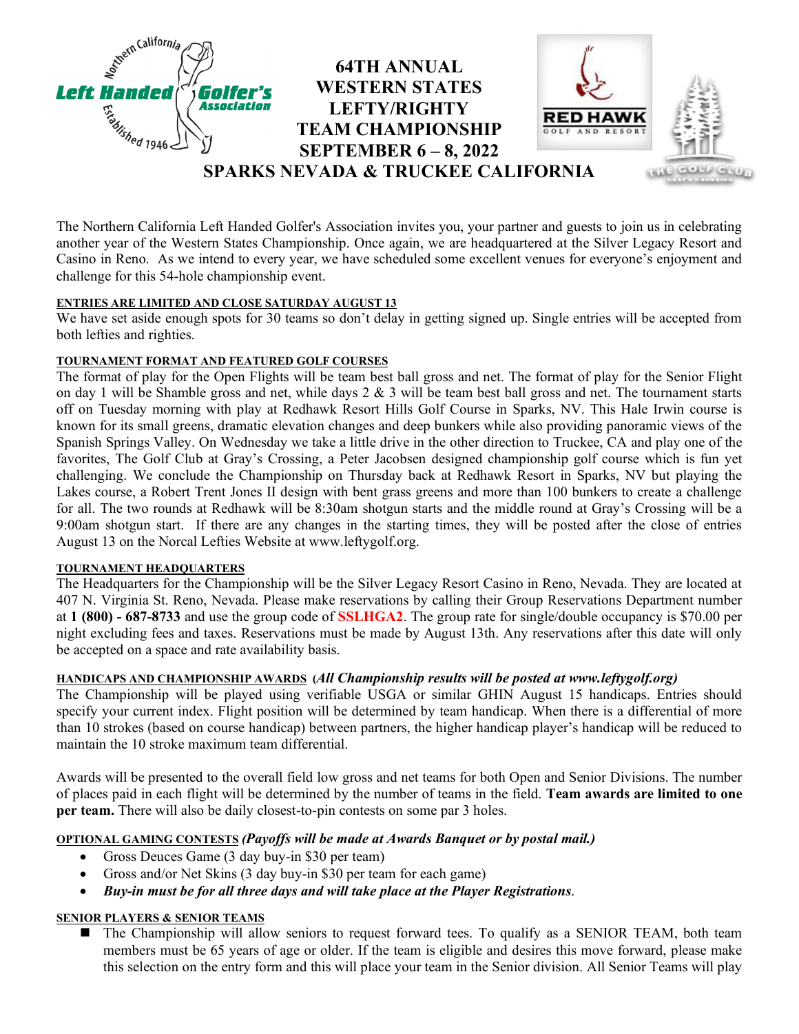

The Northern California Left Handed Golfer's Association invites you, your partner and guests to join us in celebrating another year of the Western States Championship. Once again, we are headquartered at the Silver Legacy Resort and Casino in Reno. As we intend to every year, we have scheduled some excellent venues for everyone's enjoyment and challenge for this 54-hole championship event.

# **ENTRIES ARE LIMITED AND CLOSE SATURDAY AUGUST 13**

We have set aside enough spots for 30 teams so don't delay in getting signed up. Single entries will be accepted from both lefties and righties.

## **TOURNAMENT FORMAT AND FEATURED GOLF COURSES**

The format of play for the Open Flights will be team best ball gross and net. The format of play for the Senior Flight on day 1 will be Shamble gross and net, while days  $2 \& 3$  will be team best ball gross and net. The tournament starts off on Tuesday morning with play at Redhawk Resort Hills Golf Course in Sparks, NV. This Hale Irwin course is known for its small greens, dramatic elevation changes and deep bunkers while also providing panoramic views of the Spanish Springs Valley. On Wednesday we take a little drive in the other direction to Truckee, CA and play one of the favorites, The Golf Club at Gray's Crossing, a Peter Jacobsen designed championship golf course which is fun yet challenging. We conclude the Championship on Thursday back at Redhawk Resort in Sparks, NV but playing the Lakes course, a Robert Trent Jones II design with bent grass greens and more than 100 bunkers to create a challenge for all. The two rounds at Redhawk will be 8:30am shotgun starts and the middle round at Gray's Crossing will be a 9:00am shotgun start. If there are any changes in the starting times, they will be posted after the close of entries August 13 on the Norcal Lefties Website at www.leftygolf.org.

## **TOURNAMENT HEADQUARTERS**

The Headquarters for the Championship will be the Silver Legacy Resort Casino in Reno, Nevada. They are located at 407 N. Virginia St. Reno, Nevada. Please make reservations by calling their Group Reservations Department number at **1 (800) - 687-8733** and use the group code of **SSLHGA2**. The group rate for single/double occupancy is \$70.00 per night excluding fees and taxes. Reservations must be made by August 13th. Any reservations after this date will only be accepted on a space and rate availability basis.

## **HANDICAPS AND CHAMPIONSHIP AWARDS (***All Championship results will be posted at www.leftygolf.org)*

The Championship will be played using verifiable USGA or similar GHIN August 15 handicaps. Entries should specify your current index. Flight position will be determined by team handicap. When there is a differential of more than 10 strokes (based on course handicap) between partners, the higher handicap player's handicap will be reduced to maintain the 10 stroke maximum team differential.

Awards will be presented to the overall field low gross and net teams for both Open and Senior Divisions. The number of places paid in each flight will be determined by the number of teams in the field. **Team awards are limited to one per team.** There will also be daily closest-to-pin contests on some par 3 holes.

## **OPTIONAL GAMING CONTESTS** *(Payoffs will be made at Awards Banquet or by postal mail.)*

- Gross Deuces Game (3 day buy-in \$30 per team)
- Gross and/or Net Skins (3 day buy-in \$30 per team for each game)
- *Buy-in must be for all three days and will take place at the Player Registrations*.

## **SENIOR PLAYERS & SENIOR TEAMS**

 The Championship will allow seniors to request forward tees. To qualify as a SENIOR TEAM, both team members must be 65 years of age or older. If the team is eligible and desires this move forward, please make this selection on the entry form and this will place your team in the Senior division. All Senior Teams will play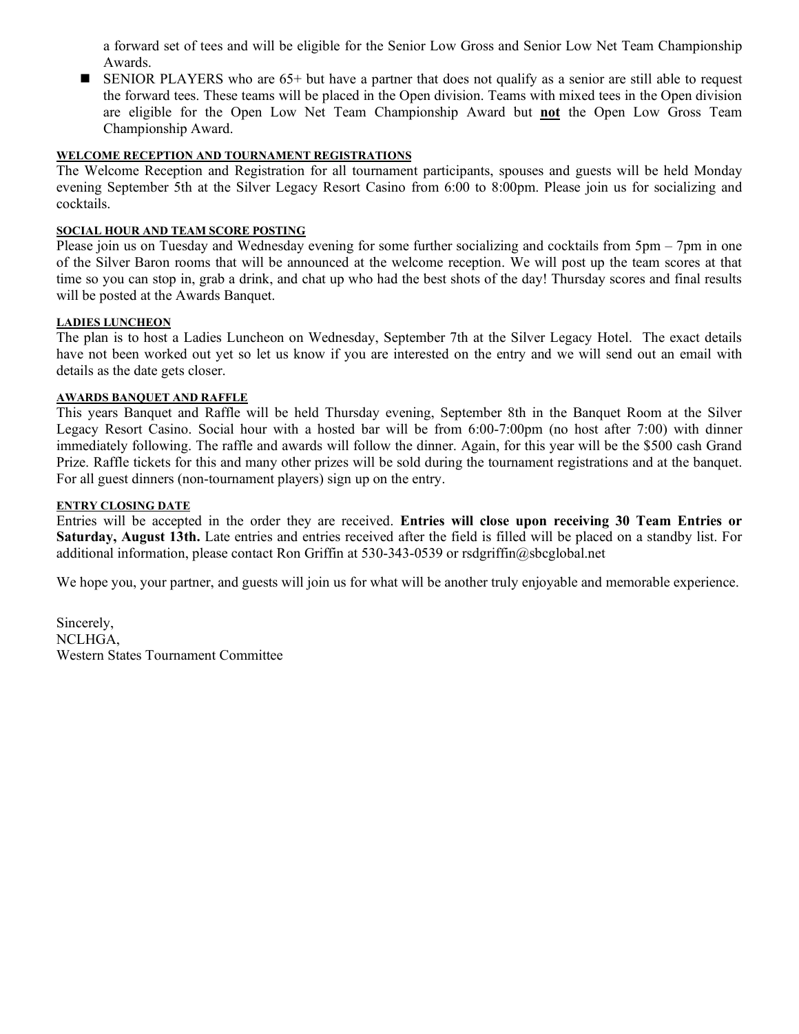a forward set of tees and will be eligible for the Senior Low Gross and Senior Low Net Team Championship Awards.

 SENIOR PLAYERS who are 65+ but have a partner that does not qualify as a senior are still able to request the forward tees. These teams will be placed in the Open division. Teams with mixed tees in the Open division are eligible for the Open Low Net Team Championship Award but **not** the Open Low Gross Team Championship Award.

## **WELCOME RECEPTION AND TOURNAMENT REGISTRATIONS**

The Welcome Reception and Registration for all tournament participants, spouses and guests will be held Monday evening September 5th at the Silver Legacy Resort Casino from 6:00 to 8:00pm. Please join us for socializing and cocktails.

## **SOCIAL HOUR AND TEAM SCORE POSTING**

Please join us on Tuesday and Wednesday evening for some further socializing and cocktails from 5pm – 7pm in one of the Silver Baron rooms that will be announced at the welcome reception. We will post up the team scores at that time so you can stop in, grab a drink, and chat up who had the best shots of the day! Thursday scores and final results will be posted at the Awards Banquet.

## **LADIES LUNCHEON**

The plan is to host a Ladies Luncheon on Wednesday, September 7th at the Silver Legacy Hotel. The exact details have not been worked out yet so let us know if you are interested on the entry and we will send out an email with details as the date gets closer.

#### **AWARDS BANQUET AND RAFFLE**

This years Banquet and Raffle will be held Thursday evening, September 8th in the Banquet Room at the Silver Legacy Resort Casino. Social hour with a hosted bar will be from 6:00-7:00pm (no host after 7:00) with dinner immediately following. The raffle and awards will follow the dinner. Again, for this year will be the \$500 cash Grand Prize. Raffle tickets for this and many other prizes will be sold during the tournament registrations and at the banquet. For all guest dinners (non-tournament players) sign up on the entry.

#### **ENTRY CLOSING DATE**

Entries will be accepted in the order they are received. **Entries will close upon receiving 30 Team Entries or Saturday, August 13th.** Late entries and entries received after the field is filled will be placed on a standby list. For additional information, please contact Ron Griffin at 530-343-0539 or rsdgriffin@sbcglobal.net

We hope you, your partner, and guests will join us for what will be another truly enjoyable and memorable experience.

Sincerely, NCLHGA, Western States Tournament Committee